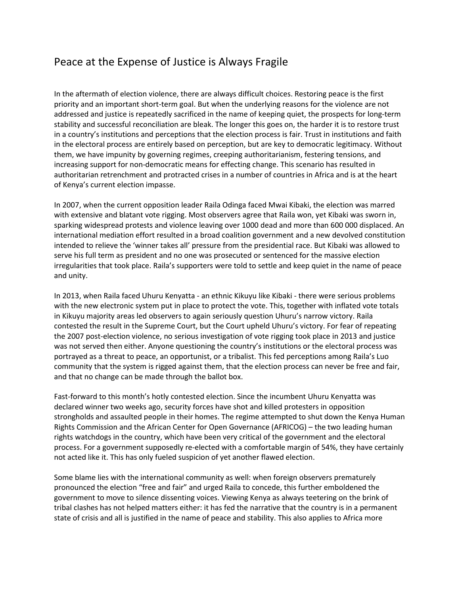## Peace at the Expense of Justice is Always Fragile

In the aftermath of election violence, there are always difficult choices. Restoring peace is the first priority and an important short-term goal. But when the underlying reasons for the violence are not addressed and justice is repeatedly sacrificed in the name of keeping quiet, the prospects for long-term stability and successful reconciliation are bleak. The longer this goes on, the harder it is to restore trust in a country's institutions and perceptions that the election process is fair. Trust in institutions and faith in the electoral process are entirely based on perception, but are key to democratic legitimacy. Without them, we have impunity by governing regimes, creeping authoritarianism, festering tensions, and increasing support for non-democratic means for effecting change. This scenario has resulted in authoritarian retrenchment and protracted crises in a number of countries in Africa and is at the heart of Kenya's current election impasse.

In 2007, when the current opposition leader Raila Odinga faced Mwai Kibaki, the election was marred with extensive and blatant vote rigging. Most observers agree that Raila won, yet Kibaki was sworn in, sparking widespread protests and violence leaving over 1000 dead and more than 600 000 displaced. An international mediation effort resulted in a broad coalition government and a new devolved constitution intended to relieve the 'winner takes all' pressure from the presidential race. But Kibaki was allowed to serve his full term as president and no one was prosecuted or sentenced for the massive election irregularities that took place. Raila's supporters were told to settle and keep quiet in the name of peace and unity.

In 2013, when Raila faced Uhuru Kenyatta - an ethnic Kikuyu like Kibaki - there were serious problems with the new electronic system put in place to protect the vote. This, together with inflated vote totals in Kikuyu majority areas led observers to again seriously question Uhuru's narrow victory. Raila contested the result in the Supreme Court, but the Court upheld Uhuru's victory. For fear of repeating the 2007 post-election violence, no serious investigation of vote rigging took place in 2013 and justice was not served then either. Anyone questioning the country's institutions or the electoral process was portrayed as a threat to peace, an opportunist, or a tribalist. This fed perceptions among Raila's Luo community that the system is rigged against them, that the election process can never be free and fair, and that no change can be made through the ballot box.

Fast-forward to this month's hotly contested election. Since the incumbent Uhuru Kenyatta was declared winner two weeks ago, security forces have shot and killed protesters in opposition strongholds and assaulted people in their homes. The regime attempted to shut down the Kenya Human Rights Commission and the African Center for Open Governance (AFRICOG) – the two leading human rights watchdogs in the country, which have been very critical of the government and the electoral process. For a government supposedly re-elected with a comfortable margin of 54%, they have certainly not acted like it. This has only fueled suspicion of yet another flawed election.

Some blame lies with the international community as well: when foreign observers prematurely pronounced the election "free and fair" and urged Raila to concede, this further emboldened the government to move to silence dissenting voices. Viewing Kenya as always teetering on the brink of tribal clashes has not helped matters either: it has fed the narrative that the country is in a permanent state of crisis and all is justified in the name of peace and stability. This also applies to Africa more